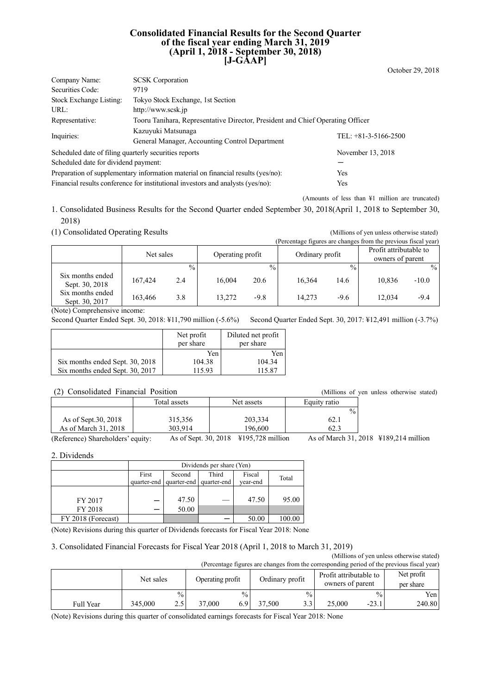#### **Consolidated Financial Results for the Second Quarter of the fiscal year ending March 31, 2019 (April 1, 2018 - September 30, 2018) [J-GAAP]**

| <b>SCSK</b> Corporation<br>Company Name:                                                          |                                                                                 |                        |  |  |  |
|---------------------------------------------------------------------------------------------------|---------------------------------------------------------------------------------|------------------------|--|--|--|
| Securities Code:                                                                                  | 9719                                                                            |                        |  |  |  |
| Stock Exchange Listing:                                                                           | Tokyo Stock Exchange, 1st Section                                               |                        |  |  |  |
| URL:                                                                                              | http://www.scsk.jp                                                              |                        |  |  |  |
| Tooru Tanihara, Representative Director, President and Chief Operating Officer<br>Representative: |                                                                                 |                        |  |  |  |
| Inquiries:                                                                                        | Kazuyuki Matsunaga                                                              | TEL: $+81-3-5166-2500$ |  |  |  |
|                                                                                                   | General Manager, Accounting Control Department                                  |                        |  |  |  |
| Scheduled date of filing quarterly securities reports                                             |                                                                                 | November 13, 2018      |  |  |  |
| Scheduled date for dividend payment:                                                              |                                                                                 |                        |  |  |  |
| Preparation of supplementary information material on financial results (yes/no):<br>Yes           |                                                                                 |                        |  |  |  |
|                                                                                                   | Financial results conference for institutional investors and analysts (yes/no): | Yes                    |  |  |  |

(Amounts of less than ¥1 million are truncated)

October 29, 2018

1. Consolidated Business Results for the Second Quarter ended September 30, 2018(April 1, 2018 to September 30, 2018)

(1) Consolidated Operating Results (Millions of yen unless otherwise stated)

(Percentage figures are changes from the previous fiscal year)

|                                    | Net sales |               | Operating profit |               | Ordinary profit |               | Profit attributable to<br>owners of parent |               |
|------------------------------------|-----------|---------------|------------------|---------------|-----------------|---------------|--------------------------------------------|---------------|
|                                    |           | $\frac{0}{0}$ |                  | $\frac{0}{0}$ |                 | $\frac{0}{0}$ |                                            | $\frac{0}{0}$ |
| Six months ended<br>Sept. 30, 2018 | 167.424   | 2.4           | 16,004           | 20.6          | 16,364          | 14.6          | 10.836                                     | $-10.0$       |
| Six months ended<br>Sept. 30, 2017 | 163,466   | 3.8           | 13,272           | -9.8          | 14.273          | $-9.6$        | 12,034                                     | $-9.4$        |

(Note) Comprehensive income:

Second Quarter Ended Sept. 30, 2018: ¥11,790 million (-5.6%) Second Quarter Ended Sept. 30, 2017: ¥12,491 million (-3.7%)

|                                 | Net profit<br>per share | Diluted net profit<br>per share |
|---------------------------------|-------------------------|---------------------------------|
|                                 | Yen                     | Yen                             |
| Six months ended Sept. 30, 2018 | 104.38                  | 104.34                          |
| Six months ended Sept. 30, 2017 | 115.93                  | 115.87                          |

| (2) Consolidated Financial Position |              |            |               | (Millions of yen unless otherwise stated) |
|-------------------------------------|--------------|------------|---------------|-------------------------------------------|
|                                     | Total assets | Net assets | Equity ratio  |                                           |
|                                     |              |            | $\frac{0}{0}$ |                                           |
| As of Sept. 30, 2018                | 315,356      | 203,334    | 62.1          |                                           |
| As of March 31, 2018                | 303.914      | 196.600    | 62.3          |                                           |
|                                     |              |            |               |                                           |

(Reference) Shareholders' equity: As of Sept. 30, 2018 ¥195,728 million As of March 31, 2018 ¥189,214 million

2. Dividends

|                    |             | Dividends per share (Yen) |             |          |        |  |  |
|--------------------|-------------|---------------------------|-------------|----------|--------|--|--|
|                    | First       | Second                    | Third       | Fiscal   | Total  |  |  |
|                    | quarter-end | quarter-end               | quarter-end | year-end |        |  |  |
|                    |             |                           |             |          |        |  |  |
| FY 2017            |             | 47.50                     |             | 47.50    | 95.00  |  |  |
| FY 2018            |             | 50.00                     |             |          |        |  |  |
| FY 2018 (Forecast) |             |                           |             | 50.00    | 100.00 |  |  |

(Note) Revisions during this quarter of Dividends forecasts for Fiscal Year 2018: None

## 3. Consolidated Financial Forecasts for Fiscal Year 2018 (April 1, 2018 to March 31, 2019)

(Millions of yen unless otherwise stated) (Percentage figures are changes from the corresponding period of the previous fiscal year)

|           |           |                           |                  |               |                 |               | - -                                        |               |                         |
|-----------|-----------|---------------------------|------------------|---------------|-----------------|---------------|--------------------------------------------|---------------|-------------------------|
|           | Net sales |                           | Operating profit |               | Ordinary profit |               | Profit attributable to<br>owners of parent |               | Net profit<br>per share |
|           |           | $\frac{0}{0}$             |                  | $\frac{0}{0}$ |                 | $\frac{0}{0}$ |                                            | $\frac{9}{6}$ | Yen                     |
| Full Year | 345,000   | $\cap$ $\subset$<br>ر . ب | 37,000           | 6.9           | 37,500          | ママ<br>ر. ر    | 25,000                                     | $-23.1$       | 240.80                  |

(Note) Revisions during this quarter of consolidated earnings forecasts for Fiscal Year 2018: None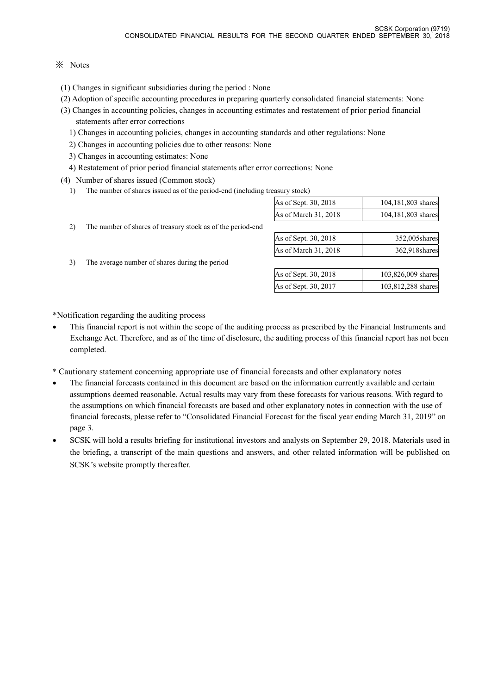## ※ Notes

- (1) Changes in significant subsidiaries during the period : None
- (2) Adoption of specific accounting procedures in preparing quarterly consolidated financial statements: None
- (3) Changes in accounting policies, changes in accounting estimates and restatement of prior period financial statements after error corrections
	- 1) Changes in accounting policies, changes in accounting standards and other regulations: None
	- 2) Changes in accounting policies due to other reasons: None
	- 3) Changes in accounting estimates: None
	- 4) Restatement of prior period financial statements after error corrections: None
- (4) Number of shares issued (Common stock)
	- 1) The number of shares issued as of the period-end (including treasury stock)

|  |  | As of Sept. 30, 2018 | 104,181,803 shares |
|--|--|----------------------|--------------------|
|  |  | As of March 31, 2018 | 104,181,803 shares |

- 2) The number of shares of treasury stock as of the period-end
- 3) The average number of shares during the period

|  | As of Sept. 30, 2018 | 352,005 shares |
|--|----------------------|----------------|
|  | As of March 31, 2018 | 362,918 shares |
|  |                      |                |

| As of Sept. 30, 2018 | 103,826,009 shares |
|----------------------|--------------------|
| As of Sept. 30, 2017 | 103,812,288 shares |

\*Notification regarding the auditing process

- This financial report is not within the scope of the auditing process as prescribed by the Financial Instruments and Exchange Act. Therefore, and as of the time of disclosure, the auditing process of this financial report has not been completed.
- \* Cautionary statement concerning appropriate use of financial forecasts and other explanatory notes
- The financial forecasts contained in this document are based on the information currently available and certain assumptions deemed reasonable. Actual results may vary from these forecasts for various reasons. With regard to the assumptions on which financial forecasts are based and other explanatory notes in connection with the use of financial forecasts, please refer to "Consolidated Financial Forecast for the fiscal year ending March 31, 2019" on page 3.
- SCSK will hold a results briefing for institutional investors and analysts on September 29, 2018. Materials used in the briefing, a transcript of the main questions and answers, and other related information will be published on SCSK's website promptly thereafter.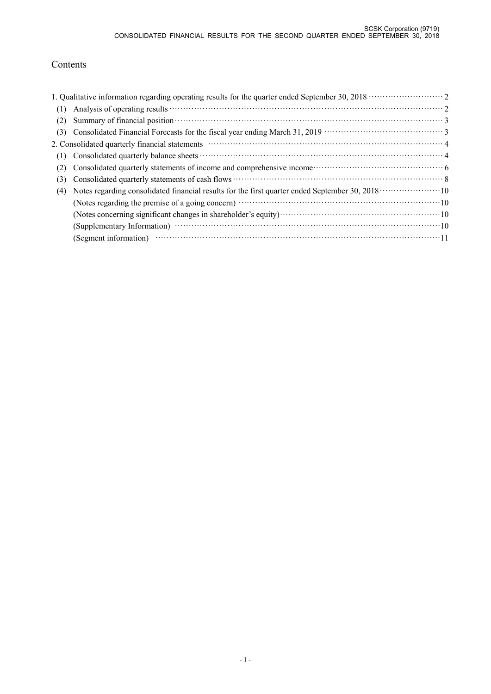## Contents

|     | 1. Qualitative information regarding operating results for the quarter ended September 30, 2018 ······················ 2                                                                                  |
|-----|-----------------------------------------------------------------------------------------------------------------------------------------------------------------------------------------------------------|
| (1) |                                                                                                                                                                                                           |
| (2) | Summary of financial position materials and property of financial position materials of financial position materials.                                                                                     |
| (3) |                                                                                                                                                                                                           |
|     | 2. Consolidated quarterly financial statements manufactured control and a final property of 4                                                                                                             |
| (1) |                                                                                                                                                                                                           |
| (2) |                                                                                                                                                                                                           |
| (3) |                                                                                                                                                                                                           |
| (4) | Notes regarding consolidated financial results for the first quarter ended September 30, 2018 ······················10                                                                                    |
|     |                                                                                                                                                                                                           |
|     |                                                                                                                                                                                                           |
|     |                                                                                                                                                                                                           |
|     | (Segment information) $\cdots$ $\cdots$ $\cdots$ $\cdots$ $\cdots$ $\cdots$ $\cdots$ $\cdots$ $\cdots$ $\cdots$ $\cdots$ $\cdots$ $\cdots$ $\cdots$ $\cdots$ $\cdots$ $\cdots$ $\cdots$ $\cdots$ $\cdots$ |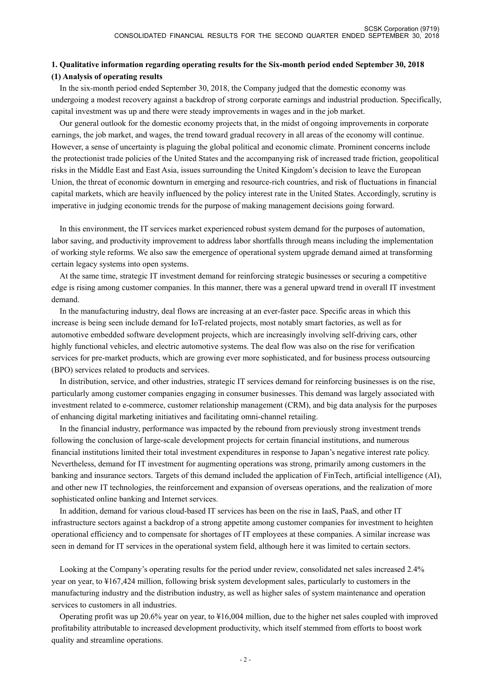## **1. Qualitative information regarding operating results for the Six-month period ended September 30, 2018 (1) Analysis of operating results**

 In the six-month period ended September 30, 2018, the Company judged that the domestic economy was undergoing a modest recovery against a backdrop of strong corporate earnings and industrial production. Specifically, capital investment was up and there were steady improvements in wages and in the job market.

 Our general outlook for the domestic economy projects that, in the midst of ongoing improvements in corporate earnings, the job market, and wages, the trend toward gradual recovery in all areas of the economy will continue. However, a sense of uncertainty is plaguing the global political and economic climate. Prominent concerns include the protectionist trade policies of the United States and the accompanying risk of increased trade friction, geopolitical risks in the Middle East and East Asia, issues surrounding the United Kingdom's decision to leave the European Union, the threat of economic downturn in emerging and resource-rich countries, and risk of fluctuations in financial capital markets, which are heavily influenced by the policy interest rate in the United States. Accordingly, scrutiny is imperative in judging economic trends for the purpose of making management decisions going forward.

 In this environment, the IT services market experienced robust system demand for the purposes of automation, labor saving, and productivity improvement to address labor shortfalls through means including the implementation of working style reforms. We also saw the emergence of operational system upgrade demand aimed at transforming certain legacy systems into open systems.

 At the same time, strategic IT investment demand for reinforcing strategic businesses or securing a competitive edge is rising among customer companies. In this manner, there was a general upward trend in overall IT investment demand.

 In the manufacturing industry, deal flows are increasing at an ever-faster pace. Specific areas in which this increase is being seen include demand for IoT-related projects, most notably smart factories, as well as for automotive embedded software development projects, which are increasingly involving self-driving cars, other highly functional vehicles, and electric automotive systems. The deal flow was also on the rise for verification services for pre-market products, which are growing ever more sophisticated, and for business process outsourcing (BPO) services related to products and services.

 In distribution, service, and other industries, strategic IT services demand for reinforcing businesses is on the rise, particularly among customer companies engaging in consumer businesses. This demand was largely associated with investment related to e-commerce, customer relationship management (CRM), and big data analysis for the purposes of enhancing digital marketing initiatives and facilitating omni-channel retailing.

 In the financial industry, performance was impacted by the rebound from previously strong investment trends following the conclusion of large-scale development projects for certain financial institutions, and numerous financial institutions limited their total investment expenditures in response to Japan's negative interest rate policy. Nevertheless, demand for IT investment for augmenting operations was strong, primarily among customers in the banking and insurance sectors. Targets of this demand included the application of FinTech, artificial intelligence (AI), and other new IT technologies, the reinforcement and expansion of overseas operations, and the realization of more sophisticated online banking and Internet services.

 In addition, demand for various cloud-based IT services has been on the rise in IaaS, PaaS, and other IT infrastructure sectors against a backdrop of a strong appetite among customer companies for investment to heighten operational efficiency and to compensate for shortages of IT employees at these companies. A similar increase was seen in demand for IT services in the operational system field, although here it was limited to certain sectors.

 Looking at the Company's operating results for the period under review, consolidated net sales increased 2.4% year on year, to ¥167,424 million, following brisk system development sales, particularly to customers in the manufacturing industry and the distribution industry, as well as higher sales of system maintenance and operation services to customers in all industries.

 Operating profit was up 20.6% year on year, to ¥16,004 million, due to the higher net sales coupled with improved profitability attributable to increased development productivity, which itself stemmed from efforts to boost work quality and streamline operations.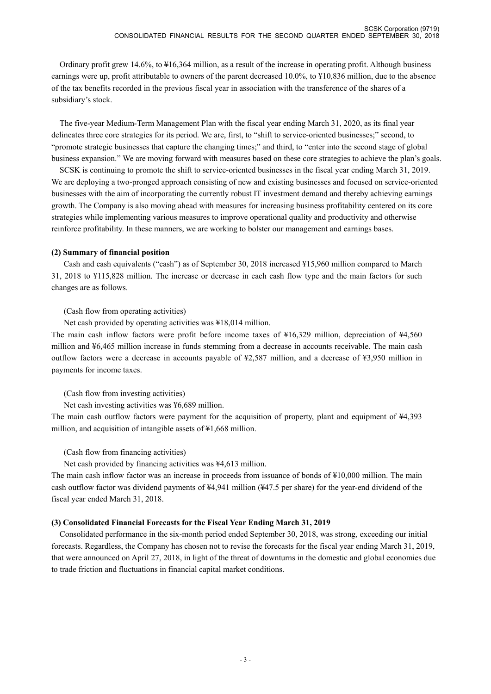Ordinary profit grew 14.6%, to ¥16,364 million, as a result of the increase in operating profit. Although business earnings were up, profit attributable to owners of the parent decreased 10.0%, to ¥10,836 million, due to the absence of the tax benefits recorded in the previous fiscal year in association with the transference of the shares of a subsidiary's stock.

 The five-year Medium-Term Management Plan with the fiscal year ending March 31, 2020, as its final year delineates three core strategies for its period. We are, first, to "shift to service-oriented businesses;" second, to "promote strategic businesses that capture the changing times;" and third, to "enter into the second stage of global business expansion." We are moving forward with measures based on these core strategies to achieve the plan's goals.

SCSK is continuing to promote the shift to service-oriented businesses in the fiscal year ending March 31, 2019. We are deploying a two-pronged approach consisting of new and existing businesses and focused on service-oriented businesses with the aim of incorporating the currently robust IT investment demand and thereby achieving earnings growth. The Company is also moving ahead with measures for increasing business profitability centered on its core strategies while implementing various measures to improve operational quality and productivity and otherwise reinforce profitability. In these manners, we are working to bolster our management and earnings bases.

#### **(2) Summary of financial position**

Cash and cash equivalents ("cash") as of September 30, 2018 increased ¥15,960 million compared to March 31, 2018 to ¥115,828 million. The increase or decrease in each cash flow type and the main factors for such changes are as follows.

#### (Cash flow from operating activities)

Net cash provided by operating activities was ¥18,014 million.

The main cash inflow factors were profit before income taxes of ¥16,329 million, depreciation of ¥4,560 million and ¥6,465 million increase in funds stemming from a decrease in accounts receivable. The main cash outflow factors were a decrease in accounts payable of ¥2,587 million, and a decrease of ¥3,950 million in payments for income taxes.

## (Cash flow from investing activities)

Net cash investing activities was ¥6,689 million.

The main cash outflow factors were payment for the acquisition of property, plant and equipment of ¥4,393 million, and acquisition of intangible assets of ¥1,668 million.

## (Cash flow from financing activities)

Net cash provided by financing activities was ¥4,613 million.

The main cash inflow factor was an increase in proceeds from issuance of bonds of ¥10,000 million. The main cash outflow factor was dividend payments of ¥4,941 million (¥47.5 per share) for the year-end dividend of the fiscal year ended March 31, 2018.

## **(3) Consolidated Financial Forecasts for the Fiscal Year Ending March 31, 2019**

Consolidated performance in the six-month period ended September 30, 2018, was strong, exceeding our initial forecasts. Regardless, the Company has chosen not to revise the forecasts for the fiscal year ending March 31, 2019, that were announced on April 27, 2018, in light of the threat of downturns in the domestic and global economies due to trade friction and fluctuations in financial capital market conditions.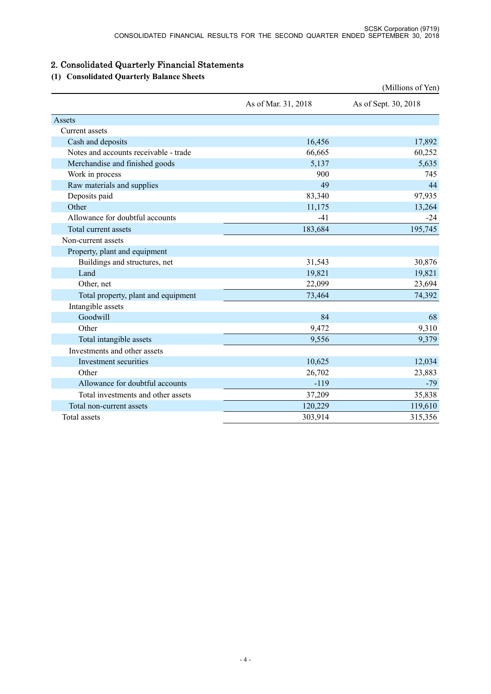# 2. Consolidated Quarterly Financial Statements

# **(1) Consolidated Quarterly Balance Sheets**

|                                       |                     | (Millions of Yen)    |
|---------------------------------------|---------------------|----------------------|
|                                       | As of Mar. 31, 2018 | As of Sept. 30, 2018 |
| Assets                                |                     |                      |
| Current assets                        |                     |                      |
| Cash and deposits                     | 16,456              | 17,892               |
| Notes and accounts receivable - trade | 66,665              | 60,252               |
| Merchandise and finished goods        | 5,137               | 5,635                |
| Work in process                       | 900                 | 745                  |
| Raw materials and supplies            | 49                  | 44                   |
| Deposits paid                         | 83,340              | 97,935               |
| Other                                 | 11,175              | 13,264               |
| Allowance for doubtful accounts       | $-41$               | $-24$                |
| Total current assets                  | 183,684             | 195,745              |
| Non-current assets                    |                     |                      |
| Property, plant and equipment         |                     |                      |
| Buildings and structures, net         | 31,543              | 30,876               |
| Land                                  | 19,821              | 19,821               |
| Other, net                            | 22,099              | 23,694               |
| Total property, plant and equipment   | 73,464              | 74,392               |
| Intangible assets                     |                     |                      |
| Goodwill                              | 84                  | 68                   |
| Other                                 | 9,472               | 9,310                |
| Total intangible assets               | 9,556               | 9,379                |
| Investments and other assets          |                     |                      |
| Investment securities                 | 10,625              | 12,034               |
| Other                                 | 26,702              | 23,883               |
| Allowance for doubtful accounts       | $-119$              | $-79$                |
| Total investments and other assets    | 37,209              | 35,838               |
| Total non-current assets              | 120,229             | 119,610              |
| Total assets                          | 303,914             | 315,356              |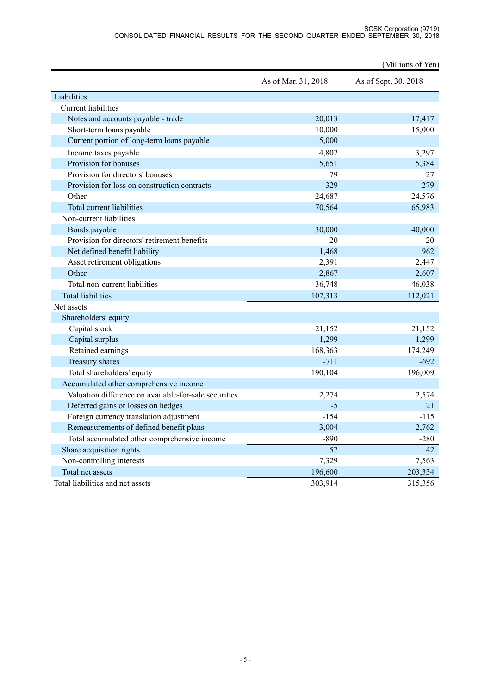|                                                       |                     | (Millions of Yen)    |
|-------------------------------------------------------|---------------------|----------------------|
|                                                       | As of Mar. 31, 2018 | As of Sept. 30, 2018 |
| Liabilities                                           |                     |                      |
| <b>Current</b> liabilities                            |                     |                      |
| Notes and accounts payable - trade                    | 20,013              | 17,417               |
| Short-term loans payable                              | 10,000              | 15,000               |
| Current portion of long-term loans payable            | 5,000               |                      |
| Income taxes payable                                  | 4,802               | 3,297                |
| Provision for bonuses                                 | 5,651               | 5,384                |
| Provision for directors' bonuses                      | 79                  | 27                   |
| Provision for loss on construction contracts          | 329                 | 279                  |
| Other                                                 | 24,687              | 24,576               |
| Total current liabilities                             | 70,564              | 65,983               |
| Non-current liabilities                               |                     |                      |
| Bonds payable                                         | 30,000              | 40,000               |
| Provision for directors' retirement benefits          | 20                  | 20                   |
| Net defined benefit liability                         | 1,468               | 962                  |
| Asset retirement obligations                          | 2,391               | 2,447                |
| Other                                                 | 2,867               | 2,607                |
| Total non-current liabilities                         | 36,748              | 46,038               |
| <b>Total liabilities</b>                              | 107,313             | 112,021              |
| Net assets                                            |                     |                      |
| Shareholders' equity                                  |                     |                      |
| Capital stock                                         | 21,152              | 21,152               |
| Capital surplus                                       | 1,299               | 1,299                |
| Retained earnings                                     | 168,363             | 174,249              |
| Treasury shares                                       | $-711$              | $-692$               |
| Total shareholders' equity                            | 190,104             | 196,009              |
| Accumulated other comprehensive income                |                     |                      |
| Valuation difference on available-for-sale securities | 2,274               | 2,574                |
| Deferred gains or losses on hedges                    | $-5$                | 21                   |
| Foreign currency translation adjustment               | $-154$              | $-115$               |
| Remeasurements of defined benefit plans               | $-3,004$            | $-2,762$             |
| Total accumulated other comprehensive income          | $-890$              | $-280$               |
| Share acquisition rights                              | 57                  | 42                   |
| Non-controlling interests                             | 7,329               | 7,563                |
| Total net assets                                      | 196,600             | 203,334              |
| Total liabilities and net assets                      | 303,914             | 315,356              |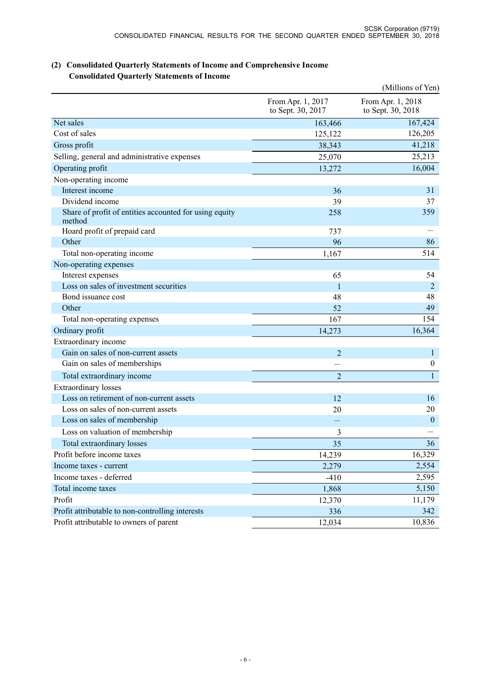|                                                                  |                                        | (Millions of Yen)                      |
|------------------------------------------------------------------|----------------------------------------|----------------------------------------|
|                                                                  | From Apr. 1, 2017<br>to Sept. 30, 2017 | From Apr. 1, 2018<br>to Sept. 30, 2018 |
| Net sales                                                        | 163,466                                | 167,424                                |
| Cost of sales                                                    | 125,122                                | 126,205                                |
| Gross profit                                                     | 38,343                                 | 41,218                                 |
| Selling, general and administrative expenses                     | 25,070                                 | 25,213                                 |
| Operating profit                                                 | 13,272                                 | 16,004                                 |
| Non-operating income                                             |                                        |                                        |
| Interest income                                                  | 36                                     | 31                                     |
| Dividend income                                                  | 39                                     | 37                                     |
| Share of profit of entities accounted for using equity<br>method | 258                                    | 359                                    |
| Hoard profit of prepaid card                                     | 737                                    |                                        |
| Other                                                            | 96                                     | 86                                     |
| Total non-operating income                                       | 1,167                                  | 514                                    |
| Non-operating expenses                                           |                                        |                                        |
| Interest expenses                                                | 65                                     | 54                                     |
| Loss on sales of investment securities                           | $\mathbf{1}$                           | 2                                      |
| Bond issuance cost                                               | 48                                     | 48                                     |
| Other                                                            | 52                                     | 49                                     |
| Total non-operating expenses                                     | 167                                    | 154                                    |
| Ordinary profit                                                  | 14,273                                 | 16,364                                 |
| Extraordinary income                                             |                                        |                                        |
| Gain on sales of non-current assets                              | $\overline{2}$                         | $\mathbf{1}$                           |
| Gain on sales of memberships                                     |                                        | $\boldsymbol{0}$                       |
| Total extraordinary income                                       | $\overline{2}$                         | $\mathbf{1}$                           |
| Extraordinary losses                                             |                                        |                                        |
| Loss on retirement of non-current assets                         | 12                                     | 16                                     |
| Loss on sales of non-current assets                              | 20                                     | 20                                     |
| Loss on sales of membership                                      |                                        | $\boldsymbol{0}$                       |
| Loss on valuation of membership                                  | 3                                      |                                        |
| Total extraordinary losses                                       | 35                                     | 36                                     |
| Profit before income taxes                                       | 14,239                                 | 16,329                                 |
| Income taxes - current                                           | 2,279                                  | 2,554                                  |
| Income taxes - deferred                                          | $-410$                                 | 2,595                                  |
| Total income taxes                                               | 1,868                                  | 5,150                                  |
| Profit                                                           | 12,370                                 | 11,179                                 |
| Profit attributable to non-controlling interests                 | 336                                    | 342                                    |
| Profit attributable to owners of parent                          | 12,034                                 | 10,836                                 |

## **(2) Consolidated Quarterly Statements of Income and Comprehensive Income Consolidated Quarterly Statements of Income**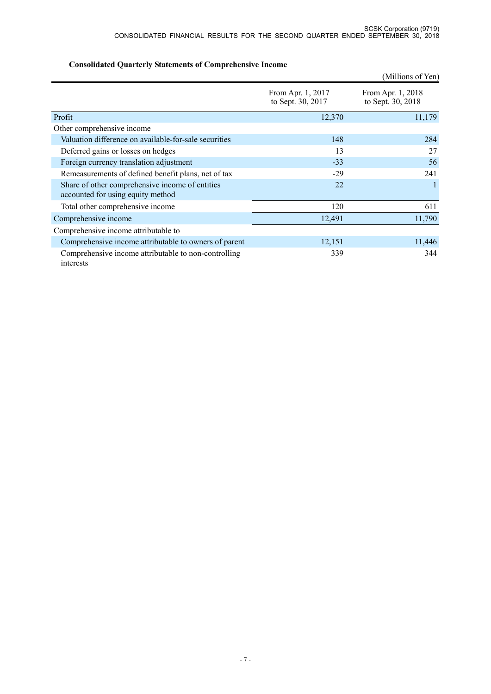|                                                                                      |                                        | (Millions of Yen)                      |
|--------------------------------------------------------------------------------------|----------------------------------------|----------------------------------------|
|                                                                                      | From Apr. 1, 2017<br>to Sept. 30, 2017 | From Apr. 1, 2018<br>to Sept. 30, 2018 |
| Profit                                                                               | 12,370                                 | 11,179                                 |
| Other comprehensive income                                                           |                                        |                                        |
| Valuation difference on available-for-sale securities                                | 148                                    | 284                                    |
| Deferred gains or losses on hedges                                                   | 13                                     | 27                                     |
| Foreign currency translation adjustment                                              | $-33$                                  | 56                                     |
| Remeasurements of defined benefit plans, net of tax                                  | $-29$                                  | 241                                    |
| Share of other comprehensive income of entities<br>accounted for using equity method | 22                                     |                                        |
| Total other comprehensive income                                                     | 120                                    | 611                                    |
| Comprehensive income                                                                 | 12,491                                 | 11,790                                 |
| Comprehensive income attributable to                                                 |                                        |                                        |
| Comprehensive income attributable to owners of parent                                | 12,151                                 | 11,446                                 |
| Comprehensive income attributable to non-controlling<br>interests                    | 339                                    | 344                                    |

## **Consolidated Quarterly Statements of Comprehensive Income**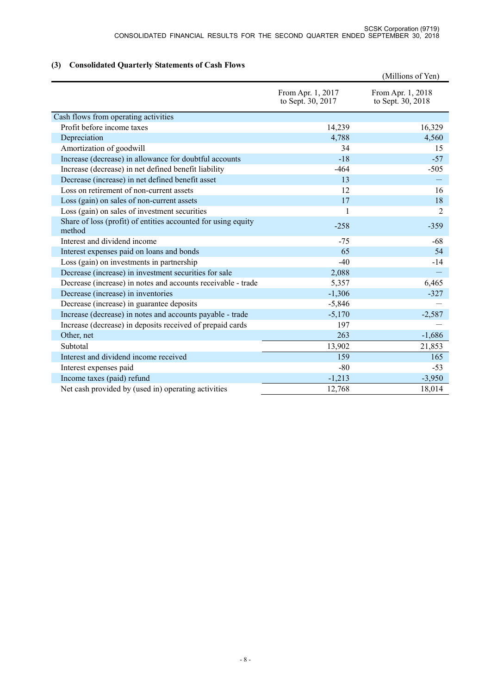## **(3) Consolidated Quarterly Statements of Cash Flows**

|                                                                         |                                        | (Millions of Yen)                      |
|-------------------------------------------------------------------------|----------------------------------------|----------------------------------------|
|                                                                         | From Apr. 1, 2017<br>to Sept. 30, 2017 | From Apr. 1, 2018<br>to Sept. 30, 2018 |
| Cash flows from operating activities                                    |                                        |                                        |
| Profit before income taxes                                              | 14,239                                 | 16,329                                 |
| Depreciation                                                            | 4,788                                  | 4,560                                  |
| Amortization of goodwill                                                | 34                                     | 15                                     |
| Increase (decrease) in allowance for doubtful accounts                  | $-18$                                  | $-57$                                  |
| Increase (decrease) in net defined benefit liability                    | $-464$                                 | $-505$                                 |
| Decrease (increase) in net defined benefit asset                        | 13                                     |                                        |
| Loss on retirement of non-current assets                                | 12                                     | 16                                     |
| Loss (gain) on sales of non-current assets                              | 17                                     | 18                                     |
| Loss (gain) on sales of investment securities                           | $\mathbf{1}$                           | $\overline{2}$                         |
| Share of loss (profit) of entities accounted for using equity<br>method | $-258$                                 | $-359$                                 |
| Interest and dividend income                                            | $-75$                                  | -68                                    |
| Interest expenses paid on loans and bonds                               | 65                                     | 54                                     |
| Loss (gain) on investments in partnership                               | $-40$                                  | $-14$                                  |
| Decrease (increase) in investment securities for sale                   | 2,088                                  |                                        |
| Decrease (increase) in notes and accounts receivable - trade            | 5,357                                  | 6,465                                  |
| Decrease (increase) in inventories                                      | $-1,306$                               | $-327$                                 |
| Decrease (increase) in guarantee deposits                               | $-5,846$                               |                                        |
| Increase (decrease) in notes and accounts payable - trade               | $-5,170$                               | $-2,587$                               |
| Increase (decrease) in deposits received of prepaid cards               | 197                                    |                                        |
| Other, net                                                              | 263                                    | $-1,686$                               |
| Subtotal                                                                | 13,902                                 | 21,853                                 |
| Interest and dividend income received                                   | 159                                    | 165                                    |
| Interest expenses paid                                                  | $-80$                                  | $-53$                                  |
| Income taxes (paid) refund                                              | $-1,213$                               | $-3,950$                               |
| Net cash provided by (used in) operating activities                     | 12,768                                 | 18,014                                 |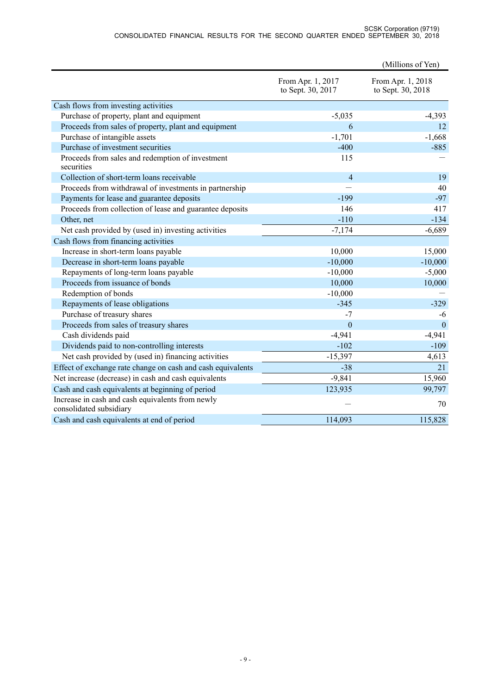#### SCSK Corporation (9719) CONSOLIDATED FINANCIAL RESULTS FOR THE SECOND QUARTER ENDED SEPTEMBER 30, 2018

|                                                                             |                                        | (Millions of Yen)                      |
|-----------------------------------------------------------------------------|----------------------------------------|----------------------------------------|
|                                                                             | From Apr. 1, 2017<br>to Sept. 30, 2017 | From Apr. 1, 2018<br>to Sept. 30, 2018 |
| Cash flows from investing activities                                        |                                        |                                        |
| Purchase of property, plant and equipment                                   | $-5,035$                               | $-4,393$                               |
| Proceeds from sales of property, plant and equipment                        | 6                                      | 12                                     |
| Purchase of intangible assets                                               | $-1,701$                               | $-1,668$                               |
| Purchase of investment securities                                           | $-400$                                 | $-885$                                 |
| Proceeds from sales and redemption of investment<br>securities              | 115                                    |                                        |
| Collection of short-term loans receivable                                   | $\overline{4}$                         | 19                                     |
| Proceeds from withdrawal of investments in partnership                      |                                        | 40                                     |
| Payments for lease and guarantee deposits                                   | $-199$                                 | $-97$                                  |
| Proceeds from collection of lease and guarantee deposits                    | 146                                    | 417                                    |
| Other, net                                                                  | $-110$                                 | $-134$                                 |
| Net cash provided by (used in) investing activities                         | $-7,174$                               | $-6,689$                               |
| Cash flows from financing activities                                        |                                        |                                        |
| Increase in short-term loans payable                                        | 10,000                                 | 15,000                                 |
| Decrease in short-term loans payable                                        | $-10,000$                              | $-10,000$                              |
| Repayments of long-term loans payable                                       | $-10,000$                              | $-5,000$                               |
| Proceeds from issuance of bonds                                             | 10,000                                 | 10,000                                 |
| Redemption of bonds                                                         | $-10,000$                              |                                        |
| Repayments of lease obligations                                             | $-345$                                 | $-329$                                 |
| Purchase of treasury shares                                                 | $-7$                                   | -6                                     |
| Proceeds from sales of treasury shares                                      | $\mathbf{0}$                           | $\mathbf{0}$                           |
| Cash dividends paid                                                         | $-4,941$                               | $-4,941$                               |
| Dividends paid to non-controlling interests                                 | $-102$                                 | $-109$                                 |
| Net cash provided by (used in) financing activities                         | $-15,397$                              | 4,613                                  |
| Effect of exchange rate change on cash and cash equivalents                 | $-38$                                  | 21                                     |
| Net increase (decrease) in cash and cash equivalents                        | $-9,841$                               | 15,960                                 |
| Cash and cash equivalents at beginning of period                            | 123,935                                | 99,797                                 |
| Increase in cash and cash equivalents from newly<br>consolidated subsidiary |                                        | 70                                     |
| Cash and cash equivalents at end of period                                  | 114,093                                | 115,828                                |
|                                                                             |                                        |                                        |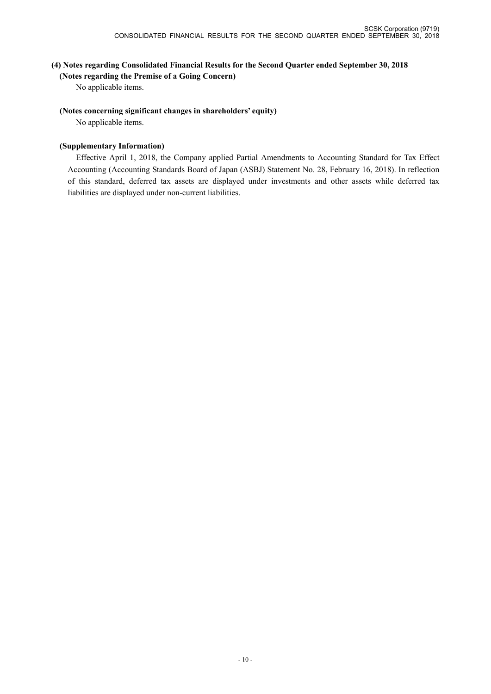## **(4) Notes regarding Consolidated Financial Results for the Second Quarter ended September 30, 2018**

**(Notes regarding the Premise of a Going Concern)**

No applicable items.

#### **(Notes concerning significant changes in shareholders' equity)**

No applicable items.

## **(Supplementary Information)**

Effective April 1, 2018, the Company applied Partial Amendments to Accounting Standard for Tax Effect Accounting (Accounting Standards Board of Japan (ASBJ) Statement No. 28, February 16, 2018). In reflection of this standard, deferred tax assets are displayed under investments and other assets while deferred tax liabilities are displayed under non-current liabilities.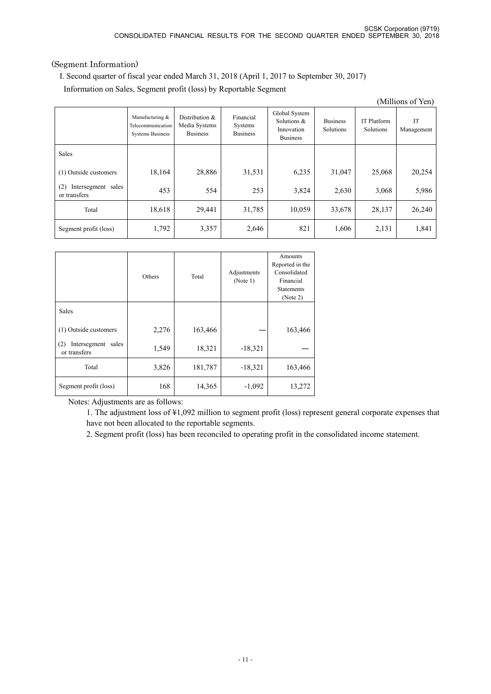## (Segment Information)

I. Second quarter of fiscal year ended March 31, 2018 (April 1, 2017 to September 30, 2017)

Information on Sales, Segment profit (loss) by Reportable Segment

| (Millions of Yen)                         |                                                                 |                                                    |                                         |                                                               |                              |                          |                  |
|-------------------------------------------|-----------------------------------------------------------------|----------------------------------------------------|-----------------------------------------|---------------------------------------------------------------|------------------------------|--------------------------|------------------|
|                                           | Manufacturing &<br>Telecommunication<br><b>Systems Business</b> | Distribution &<br>Media Systems<br><b>Business</b> | Financial<br>Systems<br><b>Business</b> | Global System<br>Solutions &<br>Innovation<br><b>Business</b> | <b>Business</b><br>Solutions | IT Platform<br>Solutions | IT<br>Management |
| Sales                                     |                                                                 |                                                    |                                         |                                                               |                              |                          |                  |
| (1) Outside customers                     | 18,164                                                          | 28,886                                             | 31,531                                  | 6,235                                                         | 31,047                       | 25,068                   | 20,254           |
| (2)<br>Intersegment sales<br>or transfers | 453                                                             | 554                                                | 253                                     | 3,824                                                         | 2,630                        | 3,068                    | 5,986            |
| Total                                     | 18,618                                                          | 29,441                                             | 31,785                                  | 10,059                                                        | 33,678                       | 28,137                   | 26,240           |
| Segment profit (loss)                     | 1,792                                                           | 3,357                                              | 2,646                                   | 821                                                           | 1,606                        | 2,131                    | 1,841            |

|                                           | Others | Adjustments<br>Total<br>(Note 1) |           | Amounts<br>Reported in the<br>Consolidated<br>Financial<br><b>Statements</b><br>(Note 2) |
|-------------------------------------------|--------|----------------------------------|-----------|------------------------------------------------------------------------------------------|
| <b>Sales</b>                              |        |                                  |           |                                                                                          |
| (1) Outside customers                     | 2,276  | 163,466                          |           | 163,466                                                                                  |
| Intersegment sales<br>(2)<br>or transfers | 1,549  | 18,321                           | $-18,321$ |                                                                                          |
| Total                                     | 3,826  | 181,787                          | $-18,321$ | 163,466                                                                                  |
| Segment profit (loss)                     | 168    | 14,365                           | $-1,092$  | 13,272                                                                                   |

Notes: Adjustments are as follows:

1. The adjustment loss of ¥1,092 million to segment profit (loss) represent general corporate expenses that have not been allocated to the reportable segments.

2. Segment profit (loss) has been reconciled to operating profit in the consolidated income statement.